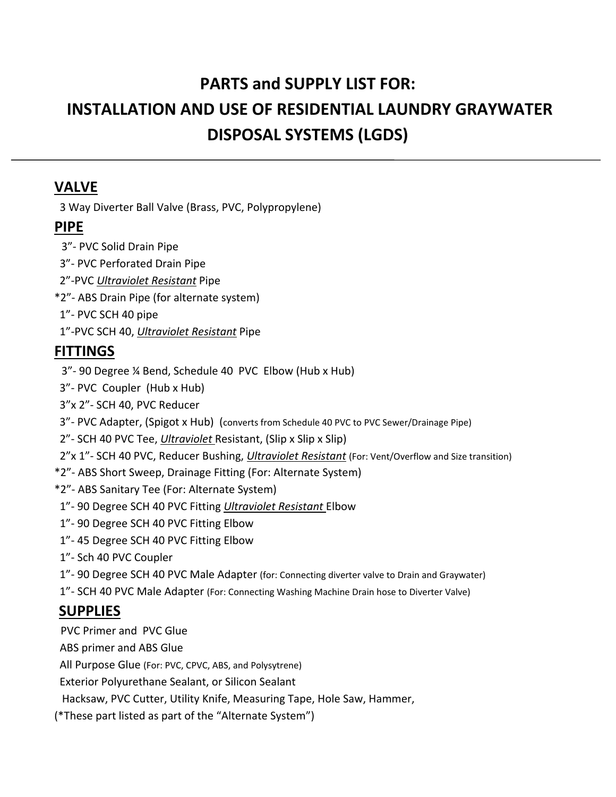# **PARTS and SUPPLY LIST FOR: INSTALLATION AND USE OF RESIDENTIAL LAUNDRY GRAYWATER DISPOSAL SYSTEMS (LGDS)**

#### **VALVE**

3 Way Diverter Ball Valve (Brass, PVC, Polypropylene)

#### **PIPE**

- 3"‐ PVC Solid Drain Pipe
- 3"‐ PVC Perforated Drain Pipe
- 2"‐PVC *Ultraviolet Resistant* Pipe
- \*2"‐ ABS Drain Pipe (for alternate system)
- 1"‐ PVC SCH 40 pipe
- 1"‐PVC SCH 40, *Ultraviolet Resistant* Pipe

## **FITTINGS**

- 3"‐ 90 Degree ¼ Bend, Schedule 40 PVC Elbow (Hub x Hub)
- 3"‐ PVC Coupler (Hub x Hub)
- 3"x 2"‐ SCH 40, PVC Reducer
- 3"‐ PVC Adapter, (Spigot x Hub) (converts from Schedule 40 PVC to PVC Sewer/Drainage Pipe)
- 2"‐ SCH 40 PVC Tee, *Ultraviolet* Resistant, (Slip x Slip x Slip)
- 2"x 1"‐ SCH 40 PVC, Reducer Bushing, *Ultraviolet Resistant* (For: Vent/Overflow and Size transition)
- \*2"‐ ABS Short Sweep, Drainage Fitting (For: Alternate System)
- \*2"‐ ABS Sanitary Tee (For: Alternate System)
- 1"‐ 90 Degree SCH 40 PVC Fitting *Ultraviolet Resistant* Elbow
- 1"‐ 90 Degree SCH 40 PVC Fitting Elbow
- 1"‐ 45 Degree SCH 40 PVC Fitting Elbow
- 1"‐ Sch 40 PVC Coupler
- 1" 90 Degree SCH 40 PVC Male Adapter (for: Connecting diverter valve to Drain and Graywater)
- 1"‐ SCH 40 PVC Male Adapter (For: Connecting Washing Machine Drain hose to Diverter Valve)

## **SUPPLIES**

PVC Primer and PVC Glue

ABS primer and ABS Glue

All Purpose Glue (For: PVC, CPVC, ABS, and Polysytrene)

Exterior Polyurethane Sealant, or Silicon Sealant

Hacksaw, PVC Cutter, Utility Knife, Measuring Tape, Hole Saw, Hammer,

(\*These part listed as part of the "Alternate System")